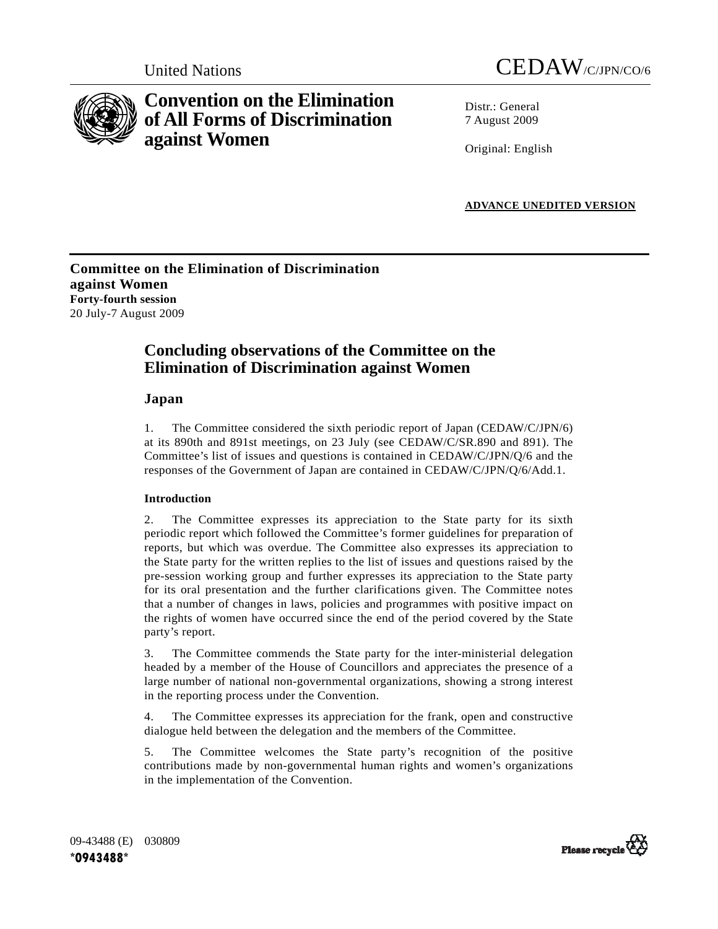



# **Convention on the Elimination of All Forms of Discrimination against Women**

Distr · General 7 August 2009

Original: English

**ADVANCE UNEDITED VERSION**

**Committee on the Elimination of Discrimination against Women Forty-fourth session**  20 July-7 August 2009

## **Concluding observations of the Committee on the Elimination of Discrimination against Women**

## **Japan**

1. The Committee considered the sixth periodic report of Japan (CEDAW/C/JPN/6) at its 890th and 891st meetings, on 23 July (see CEDAW/C/SR.890 and 891). The Committee's list of issues and questions is contained in CEDAW/C/JPN/Q/6 and the responses of the Government of Japan are contained in CEDAW/C/JPN/Q/6/Add.1.

## **Introduction**

2. The Committee expresses its appreciation to the State party for its sixth periodic report which followed the Committee's former guidelines for preparation of reports, but which was overdue. The Committee also expresses its appreciation to the State party for the written replies to the list of issues and questions raised by the pre-session working group and further expresses its appreciation to the State party for its oral presentation and the further clarifications given. The Committee notes that a number of changes in laws, policies and programmes with positive impact on the rights of women have occurred since the end of the period covered by the State party's report.

3. The Committee commends the State party for the inter-ministerial delegation headed by a member of the House of Councillors and appreciates the presence of a large number of national non-governmental organizations, showing a strong interest in the reporting process under the Convention.

4. The Committee expresses its appreciation for the frank, open and constructive dialogue held between the delegation and the members of the Committee.

5. The Committee welcomes the State party's recognition of the positive contributions made by non-governmental human rights and women's organizations in the implementation of the Convention.

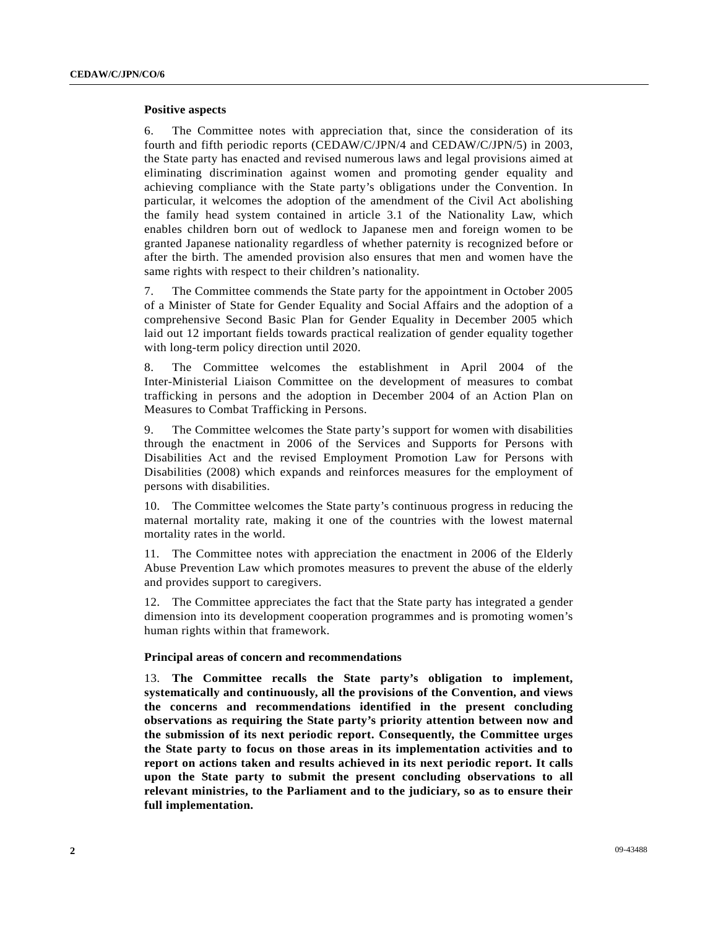#### **Positive aspects**

6. The Committee notes with appreciation that, since the consideration of its fourth and fifth periodic reports (CEDAW/C/JPN/4 and CEDAW/C/JPN/5) in 2003, the State party has enacted and revised numerous laws and legal provisions aimed at eliminating discrimination against women and promoting gender equality and achieving compliance with the State party's obligations under the Convention. In particular, it welcomes the adoption of the amendment of the Civil Act abolishing the family head system contained in article 3.1 of the Nationality Law, which enables children born out of wedlock to Japanese men and foreign women to be granted Japanese nationality regardless of whether paternity is recognized before or after the birth. The amended provision also ensures that men and women have the same rights with respect to their children's nationality.

7. The Committee commends the State party for the appointment in October 2005 of a Minister of State for Gender Equality and Social Affairs and the adoption of a comprehensive Second Basic Plan for Gender Equality in December 2005 which laid out 12 important fields towards practical realization of gender equality together with long-term policy direction until 2020.

8. The Committee welcomes the establishment in April 2004 of the Inter-Ministerial Liaison Committee on the development of measures to combat trafficking in persons and the adoption in December 2004 of an Action Plan on Measures to Combat Trafficking in Persons.

9. The Committee welcomes the State party's support for women with disabilities through the enactment in 2006 of the Services and Supports for Persons with Disabilities Act and the revised Employment Promotion Law for Persons with Disabilities (2008) which expands and reinforces measures for the employment of persons with disabilities.

10. The Committee welcomes the State party's continuous progress in reducing the maternal mortality rate, making it one of the countries with the lowest maternal mortality rates in the world.

11. The Committee notes with appreciation the enactment in 2006 of the Elderly Abuse Prevention Law which promotes measures to prevent the abuse of the elderly and provides support to caregivers.

12. The Committee appreciates the fact that the State party has integrated a gender dimension into its development cooperation programmes and is promoting women's human rights within that framework.

#### **Principal areas of concern and recommendations**

13. **The Committee recalls the State party's obligation to implement, systematically and continuously, all the provisions of the Convention, and views the concerns and recommendations identified in the present concluding observations as requiring the State party's priority attention between now and the submission of its next periodic report. Consequently, the Committee urges the State party to focus on those areas in its implementation activities and to report on actions taken and results achieved in its next periodic report. It calls upon the State party to submit the present concluding observations to all relevant ministries, to the Parliament and to the judiciary, so as to ensure their full implementation.**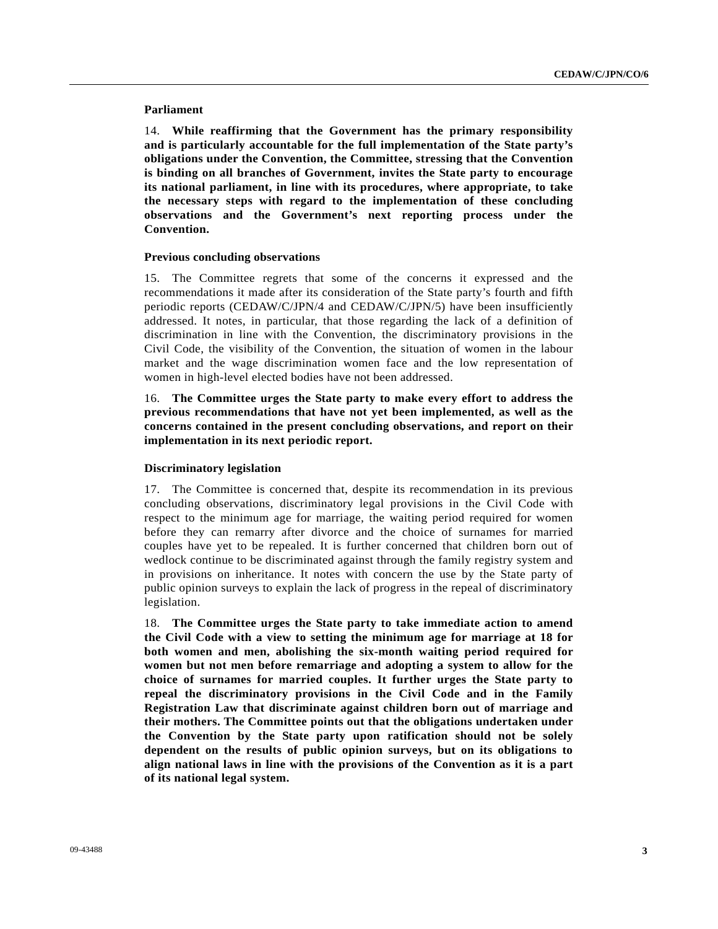#### **Parliament**

14. **While reaffirming that the Government has the primary responsibility and is particularly accountable for the full implementation of the State party's obligations under the Convention, the Committee, stressing that the Convention is binding on all branches of Government, invites the State party to encourage its national parliament, in line with its procedures, where appropriate, to take the necessary steps with regard to the implementation of these concluding observations and the Government's next reporting process under the Convention.**

#### **Previous concluding observations**

15. The Committee regrets that some of the concerns it expressed and the recommendations it made after its consideration of the State party's fourth and fifth periodic reports (CEDAW/C/JPN/4 and CEDAW/C/JPN/5) have been insufficiently addressed. It notes, in particular, that those regarding the lack of a definition of discrimination in line with the Convention, the discriminatory provisions in the Civil Code, the visibility of the Convention, the situation of women in the labour market and the wage discrimination women face and the low representation of women in high-level elected bodies have not been addressed.

16. **The Committee urges the State party to make every effort to address the previous recommendations that have not yet been implemented, as well as the concerns contained in the present concluding observations, and report on their implementation in its next periodic report.** 

#### **Discriminatory legislation**

17. The Committee is concerned that, despite its recommendation in its previous concluding observations, discriminatory legal provisions in the Civil Code with respect to the minimum age for marriage, the waiting period required for women before they can remarry after divorce and the choice of surnames for married couples have yet to be repealed. It is further concerned that children born out of wedlock continue to be discriminated against through the family registry system and in provisions on inheritance. It notes with concern the use by the State party of public opinion surveys to explain the lack of progress in the repeal of discriminatory legislation.

18. **The Committee urges the State party to take immediate action to amend the Civil Code with a view to setting the minimum age for marriage at 18 for both women and men, abolishing the six-month waiting period required for women but not men before remarriage and adopting a system to allow for the choice of surnames for married couples. It further urges the State party to repeal the discriminatory provisions in the Civil Code and in the Family Registration Law that discriminate against children born out of marriage and their mothers. The Committee points out that the obligations undertaken under the Convention by the State party upon ratification should not be solely dependent on the results of public opinion surveys, but on its obligations to align national laws in line with the provisions of the Convention as it is a part of its national legal system.**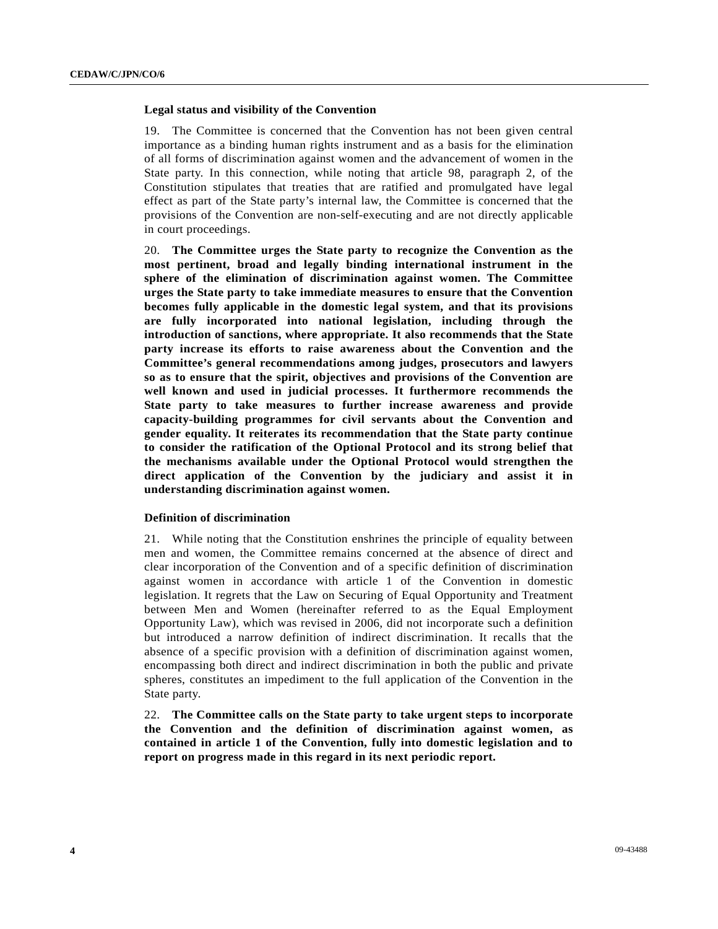#### **Legal status and visibility of the Convention**

19. The Committee is concerned that the Convention has not been given central importance as a binding human rights instrument and as a basis for the elimination of all forms of discrimination against women and the advancement of women in the State party. In this connection, while noting that article 98, paragraph 2, of the Constitution stipulates that treaties that are ratified and promulgated have legal effect as part of the State party's internal law, the Committee is concerned that the provisions of the Convention are non-self-executing and are not directly applicable in court proceedings.

20. **The Committee urges the State party to recognize the Convention as the most pertinent, broad and legally binding international instrument in the sphere of the elimination of discrimination against women. The Committee urges the State party to take immediate measures to ensure that the Convention becomes fully applicable in the domestic legal system, and that its provisions are fully incorporated into national legislation, including through the introduction of sanctions, where appropriate. It also recommends that the State party increase its efforts to raise awareness about the Convention and the Committee's general recommendations among judges, prosecutors and lawyers so as to ensure that the spirit, objectives and provisions of the Convention are well known and used in judicial processes. It furthermore recommends the State party to take measures to further increase awareness and provide capacity-building programmes for civil servants about the Convention and gender equality. It reiterates its recommendation that the State party continue to consider the ratification of the Optional Protocol and its strong belief that the mechanisms available under the Optional Protocol would strengthen the direct application of the Convention by the judiciary and assist it in understanding discrimination against women.**

#### **Definition of discrimination**

21. While noting that the Constitution enshrines the principle of equality between men and women, the Committee remains concerned at the absence of direct and clear incorporation of the Convention and of a specific definition of discrimination against women in accordance with article 1 of the Convention in domestic legislation. It regrets that the Law on Securing of Equal Opportunity and Treatment between Men and Women (hereinafter referred to as the Equal Employment Opportunity Law), which was revised in 2006, did not incorporate such a definition but introduced a narrow definition of indirect discrimination. It recalls that the absence of a specific provision with a definition of discrimination against women, encompassing both direct and indirect discrimination in both the public and private spheres, constitutes an impediment to the full application of the Convention in the State party.

22. **The Committee calls on the State party to take urgent steps to incorporate the Convention and the definition of discrimination against women, as contained in article 1 of the Convention, fully into domestic legislation and to report on progress made in this regard in its next periodic report.**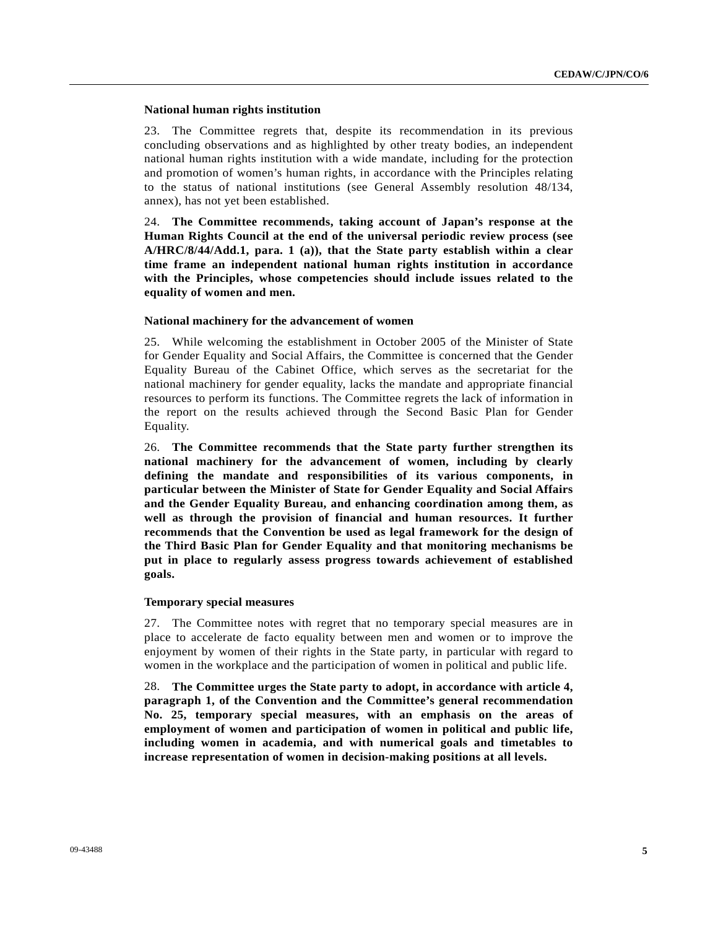#### **National human rights institution**

23. The Committee regrets that, despite its recommendation in its previous concluding observations and as highlighted by other treaty bodies, an independent national human rights institution with a wide mandate, including for the protection and promotion of women's human rights, in accordance with the Principles relating to the status of national institutions (see General Assembly resolution 48/134, annex), has not yet been established.

24. **The Committee recommends, taking account of Japan's response at the Human Rights Council at the end of the universal periodic review process (see A/HRC/8/44/Add.1, para. 1 (a)), that the State party establish within a clear time frame an independent national human rights institution in accordance with the Principles, whose competencies should include issues related to the equality of women and men.**

#### **National machinery for the advancement of women**

25. While welcoming the establishment in October 2005 of the Minister of State for Gender Equality and Social Affairs, the Committee is concerned that the Gender Equality Bureau of the Cabinet Office, which serves as the secretariat for the national machinery for gender equality, lacks the mandate and appropriate financial resources to perform its functions. The Committee regrets the lack of information in the report on the results achieved through the Second Basic Plan for Gender Equality.

26. **The Committee recommends that the State party further strengthen its national machinery for the advancement of women, including by clearly defining the mandate and responsibilities of its various components, in particular between the Minister of State for Gender Equality and Social Affairs and the Gender Equality Bureau, and enhancing coordination among them, as well as through the provision of financial and human resources. It further recommends that the Convention be used as legal framework for the design of the Third Basic Plan for Gender Equality and that monitoring mechanisms be put in place to regularly assess progress towards achievement of established goals.**

#### **Temporary special measures**

27. The Committee notes with regret that no temporary special measures are in place to accelerate de facto equality between men and women or to improve the enjoyment by women of their rights in the State party, in particular with regard to women in the workplace and the participation of women in political and public life.

28. **The Committee urges the State party to adopt, in accordance with article 4, paragraph 1, of the Convention and the Committee's general recommendation No. 25, temporary special measures, with an emphasis on the areas of employment of women and participation of women in political and public life, including women in academia, and with numerical goals and timetables to increase representation of women in decision-making positions at all levels.**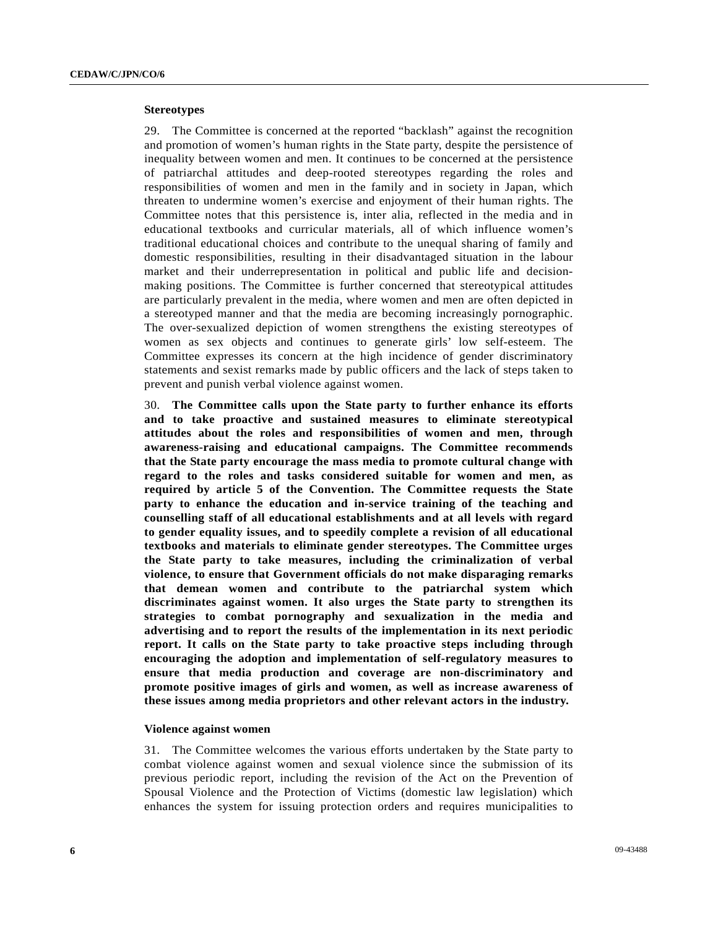#### **Stereotypes**

29. The Committee is concerned at the reported "backlash" against the recognition and promotion of women's human rights in the State party, despite the persistence of inequality between women and men. It continues to be concerned at the persistence of patriarchal attitudes and deep-rooted stereotypes regarding the roles and responsibilities of women and men in the family and in society in Japan, which threaten to undermine women's exercise and enjoyment of their human rights. The Committee notes that this persistence is, inter alia, reflected in the media and in educational textbooks and curricular materials, all of which influence women's traditional educational choices and contribute to the unequal sharing of family and domestic responsibilities, resulting in their disadvantaged situation in the labour market and their underrepresentation in political and public life and decisionmaking positions. The Committee is further concerned that stereotypical attitudes are particularly prevalent in the media, where women and men are often depicted in a stereotyped manner and that the media are becoming increasingly pornographic. The over-sexualized depiction of women strengthens the existing stereotypes of women as sex objects and continues to generate girls' low self-esteem. The Committee expresses its concern at the high incidence of gender discriminatory statements and sexist remarks made by public officers and the lack of steps taken to prevent and punish verbal violence against women.

30. **The Committee calls upon the State party to further enhance its efforts and to take proactive and sustained measures to eliminate stereotypical attitudes about the roles and responsibilities of women and men, through awareness-raising and educational campaigns. The Committee recommends that the State party encourage the mass media to promote cultural change with regard to the roles and tasks considered suitable for women and men, as required by article 5 of the Convention. The Committee requests the State party to enhance the education and in-service training of the teaching and counselling staff of all educational establishments and at all levels with regard to gender equality issues, and to speedily complete a revision of all educational textbooks and materials to eliminate gender stereotypes. The Committee urges the State party to take measures, including the criminalization of verbal violence, to ensure that Government officials do not make disparaging remarks that demean women and contribute to the patriarchal system which discriminates against women. It also urges the State party to strengthen its strategies to combat pornography and sexualization in the media and advertising and to report the results of the implementation in its next periodic report. It calls on the State party to take proactive steps including through encouraging the adoption and implementation of self-regulatory measures to ensure that media production and coverage are non-discriminatory and promote positive images of girls and women, as well as increase awareness of these issues among media proprietors and other relevant actors in the industry.**

#### **Violence against women**

31. The Committee welcomes the various efforts undertaken by the State party to combat violence against women and sexual violence since the submission of its previous periodic report, including the revision of the Act on the Prevention of Spousal Violence and the Protection of Victims (domestic law legislation) which enhances the system for issuing protection orders and requires municipalities to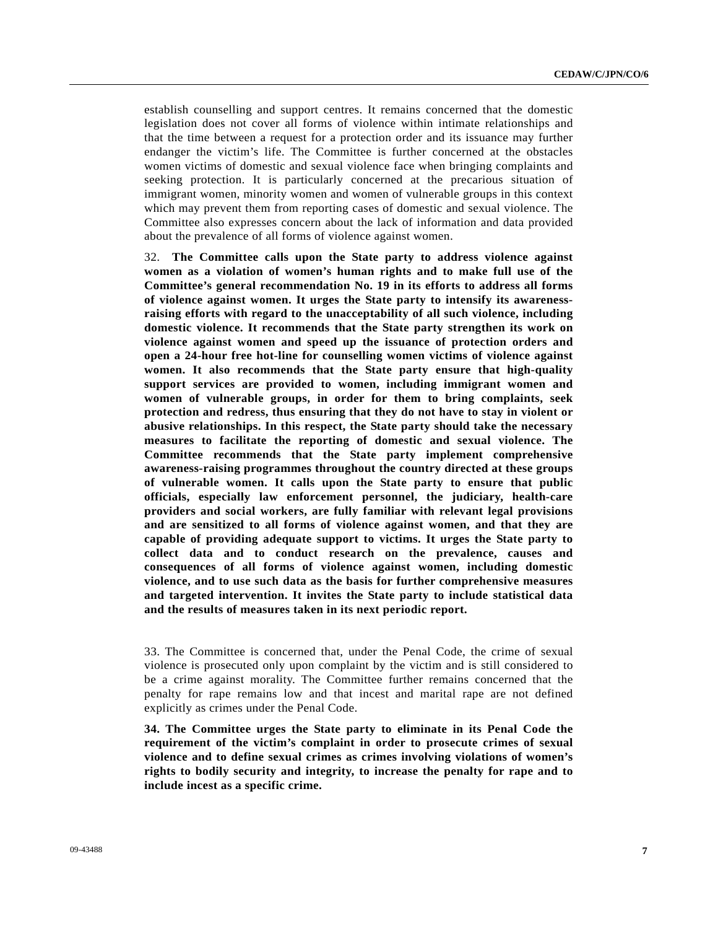establish counselling and support centres. It remains concerned that the domestic legislation does not cover all forms of violence within intimate relationships and that the time between a request for a protection order and its issuance may further endanger the victim's life. The Committee is further concerned at the obstacles women victims of domestic and sexual violence face when bringing complaints and seeking protection. It is particularly concerned at the precarious situation of immigrant women, minority women and women of vulnerable groups in this context which may prevent them from reporting cases of domestic and sexual violence. The Committee also expresses concern about the lack of information and data provided about the prevalence of all forms of violence against women.

32. **The Committee calls upon the State party to address violence against women as a violation of women's human rights and to make full use of the Committee's general recommendation No. 19 in its efforts to address all forms of violence against women. It urges the State party to intensify its awarenessraising efforts with regard to the unacceptability of all such violence, including domestic violence. It recommends that the State party strengthen its work on violence against women and speed up the issuance of protection orders and open a 24-hour free hot-line for counselling women victims of violence against women. It also recommends that the State party ensure that high-quality support services are provided to women, including immigrant women and women of vulnerable groups, in order for them to bring complaints, seek protection and redress, thus ensuring that they do not have to stay in violent or abusive relationships. In this respect, the State party should take the necessary measures to facilitate the reporting of domestic and sexual violence. The Committee recommends that the State party implement comprehensive awareness-raising programmes throughout the country directed at these groups of vulnerable women. It calls upon the State party to ensure that public officials, especially law enforcement personnel, the judiciary, health-care providers and social workers, are fully familiar with relevant legal provisions and are sensitized to all forms of violence against women, and that they are capable of providing adequate support to victims. It urges the State party to collect data and to conduct research on the prevalence, causes and consequences of all forms of violence against women, including domestic violence, and to use such data as the basis for further comprehensive measures and targeted intervention. It invites the State party to include statistical data and the results of measures taken in its next periodic report.** 

33. The Committee is concerned that, under the Penal Code, the crime of sexual violence is prosecuted only upon complaint by the victim and is still considered to be a crime against morality. The Committee further remains concerned that the penalty for rape remains low and that incest and marital rape are not defined explicitly as crimes under the Penal Code.

**34. The Committee urges the State party to eliminate in its Penal Code the requirement of the victim's complaint in order to prosecute crimes of sexual violence and to define sexual crimes as crimes involving violations of women's rights to bodily security and integrity, to increase the penalty for rape and to include incest as a specific crime.**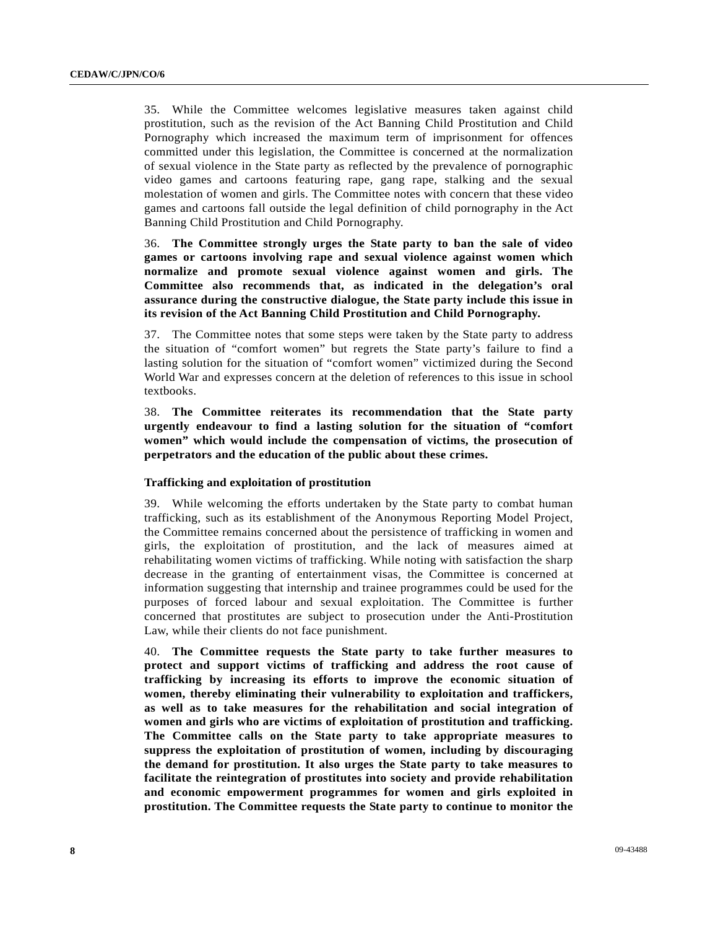35. While the Committee welcomes legislative measures taken against child prostitution, such as the revision of the Act Banning Child Prostitution and Child Pornography which increased the maximum term of imprisonment for offences committed under this legislation, the Committee is concerned at the normalization of sexual violence in the State party as reflected by the prevalence of pornographic video games and cartoons featuring rape, gang rape, stalking and the sexual molestation of women and girls. The Committee notes with concern that these video games and cartoons fall outside the legal definition of child pornography in the Act Banning Child Prostitution and Child Pornography.

36. **The Committee strongly urges the State party to ban the sale of video games or cartoons involving rape and sexual violence against women which normalize and promote sexual violence against women and girls. The Committee also recommends that, as indicated in the delegation's oral assurance during the constructive dialogue, the State party include this issue in its revision of the Act Banning Child Prostitution and Child Pornography.** 

37. The Committee notes that some steps were taken by the State party to address the situation of "comfort women" but regrets the State party's failure to find a lasting solution for the situation of "comfort women" victimized during the Second World War and expresses concern at the deletion of references to this issue in school textbooks.

38. **The Committee reiterates its recommendation that the State party urgently endeavour to find a lasting solution for the situation of "comfort women" which would include the compensation of victims, the prosecution of perpetrators and the education of the public about these crimes.** 

#### **Trafficking and exploitation of prostitution**

39. While welcoming the efforts undertaken by the State party to combat human trafficking, such as its establishment of the Anonymous Reporting Model Project, the Committee remains concerned about the persistence of trafficking in women and girls, the exploitation of prostitution, and the lack of measures aimed at rehabilitating women victims of trafficking. While noting with satisfaction the sharp decrease in the granting of entertainment visas, the Committee is concerned at information suggesting that internship and trainee programmes could be used for the purposes of forced labour and sexual exploitation. The Committee is further concerned that prostitutes are subject to prosecution under the Anti-Prostitution Law, while their clients do not face punishment.

40. **The Committee requests the State party to take further measures to protect and support victims of trafficking and address the root cause of trafficking by increasing its efforts to improve the economic situation of women, thereby eliminating their vulnerability to exploitation and traffickers, as well as to take measures for the rehabilitation and social integration of women and girls who are victims of exploitation of prostitution and trafficking. The Committee calls on the State party to take appropriate measures to suppress the exploitation of prostitution of women, including by discouraging the demand for prostitution. It also urges the State party to take measures to facilitate the reintegration of prostitutes into society and provide rehabilitation and economic empowerment programmes for women and girls exploited in prostitution. The Committee requests the State party to continue to monitor the**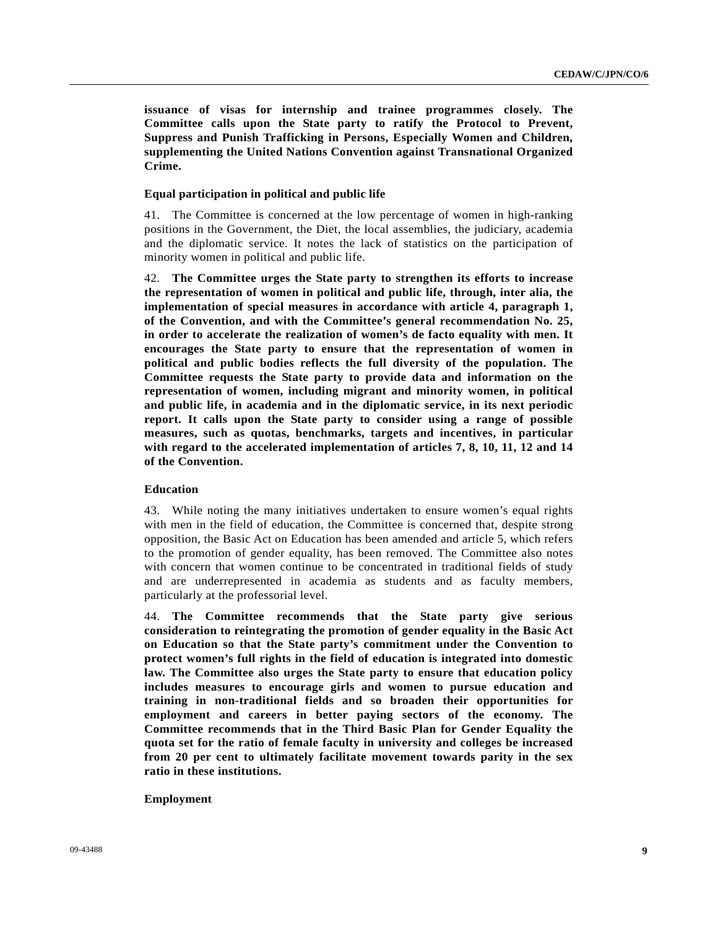**issuance of visas for internship and trainee programmes closely. The Committee calls upon the State party to ratify the Protocol to Prevent, Suppress and Punish Trafficking in Persons, Especially Women and Children, supplementing the United Nations Convention against Transnational Organized Crime.**

#### **Equal participation in political and public life**

41. The Committee is concerned at the low percentage of women in high-ranking positions in the Government, the Diet, the local assemblies, the judiciary, academia and the diplomatic service. It notes the lack of statistics on the participation of minority women in political and public life.

42. **The Committee urges the State party to strengthen its efforts to increase the representation of women in political and public life, through, inter alia, the implementation of special measures in accordance with article 4, paragraph 1, of the Convention, and with the Committee's general recommendation No. 25, in order to accelerate the realization of women's de facto equality with men. It encourages the State party to ensure that the representation of women in political and public bodies reflects the full diversity of the population. The Committee requests the State party to provide data and information on the representation of women, including migrant and minority women, in political and public life, in academia and in the diplomatic service, in its next periodic report. It calls upon the State party to consider using a range of possible measures, such as quotas, benchmarks, targets and incentives, in particular with regard to the accelerated implementation of articles 7, 8, 10, 11, 12 and 14 of the Convention.** 

#### **Education**

43. While noting the many initiatives undertaken to ensure women's equal rights with men in the field of education, the Committee is concerned that, despite strong opposition, the Basic Act on Education has been amended and article 5, which refers to the promotion of gender equality, has been removed. The Committee also notes with concern that women continue to be concentrated in traditional fields of study and are underrepresented in academia as students and as faculty members, particularly at the professorial level.

44. **The Committee recommends that the State party give serious consideration to reintegrating the promotion of gender equality in the Basic Act on Education so that the State party's commitment under the Convention to protect women's full rights in the field of education is integrated into domestic law. The Committee also urges the State party to ensure that education policy includes measures to encourage girls and women to pursue education and training in non-traditional fields and so broaden their opportunities for employment and careers in better paying sectors of the economy. The Committee recommends that in the Third Basic Plan for Gender Equality the quota set for the ratio of female faculty in university and colleges be increased from 20 per cent to ultimately facilitate movement towards parity in the sex ratio in these institutions.**

#### **Employment**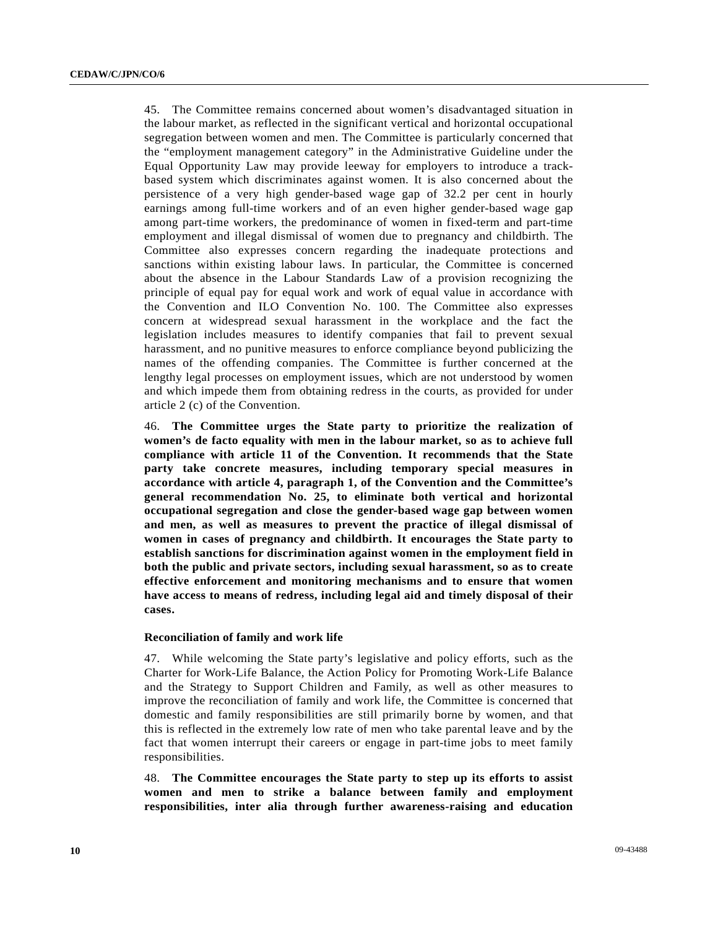45. The Committee remains concerned about women's disadvantaged situation in the labour market, as reflected in the significant vertical and horizontal occupational segregation between women and men. The Committee is particularly concerned that the "employment management category" in the Administrative Guideline under the Equal Opportunity Law may provide leeway for employers to introduce a trackbased system which discriminates against women. It is also concerned about the persistence of a very high gender-based wage gap of 32.2 per cent in hourly earnings among full-time workers and of an even higher gender-based wage gap among part-time workers, the predominance of women in fixed-term and part-time employment and illegal dismissal of women due to pregnancy and childbirth. The Committee also expresses concern regarding the inadequate protections and sanctions within existing labour laws. In particular, the Committee is concerned about the absence in the Labour Standards Law of a provision recognizing the principle of equal pay for equal work and work of equal value in accordance with the Convention and ILO Convention No. 100. The Committee also expresses concern at widespread sexual harassment in the workplace and the fact the legislation includes measures to identify companies that fail to prevent sexual harassment, and no punitive measures to enforce compliance beyond publicizing the names of the offending companies. The Committee is further concerned at the lengthy legal processes on employment issues, which are not understood by women and which impede them from obtaining redress in the courts, as provided for under article 2 (c) of the Convention.

46. **The Committee urges the State party to prioritize the realization of women's de facto equality with men in the labour market, so as to achieve full compliance with article 11 of the Convention. It recommends that the State party take concrete measures, including temporary special measures in accordance with article 4, paragraph 1, of the Convention and the Committee's general recommendation No. 25, to eliminate both vertical and horizontal occupational segregation and close the gender-based wage gap between women and men, as well as measures to prevent the practice of illegal dismissal of women in cases of pregnancy and childbirth. It encourages the State party to establish sanctions for discrimination against women in the employment field in both the public and private sectors, including sexual harassment, so as to create effective enforcement and monitoring mechanisms and to ensure that women have access to means of redress, including legal aid and timely disposal of their cases.** 

#### **Reconciliation of family and work life**

47. While welcoming the State party's legislative and policy efforts, such as the Charter for Work-Life Balance, the Action Policy for Promoting Work-Life Balance and the Strategy to Support Children and Family, as well as other measures to improve the reconciliation of family and work life, the Committee is concerned that domestic and family responsibilities are still primarily borne by women, and that this is reflected in the extremely low rate of men who take parental leave and by the fact that women interrupt their careers or engage in part-time jobs to meet family responsibilities.

48. **The Committee encourages the State party to step up its efforts to assist women and men to strike a balance between family and employment responsibilities, inter alia through further awareness-raising and education**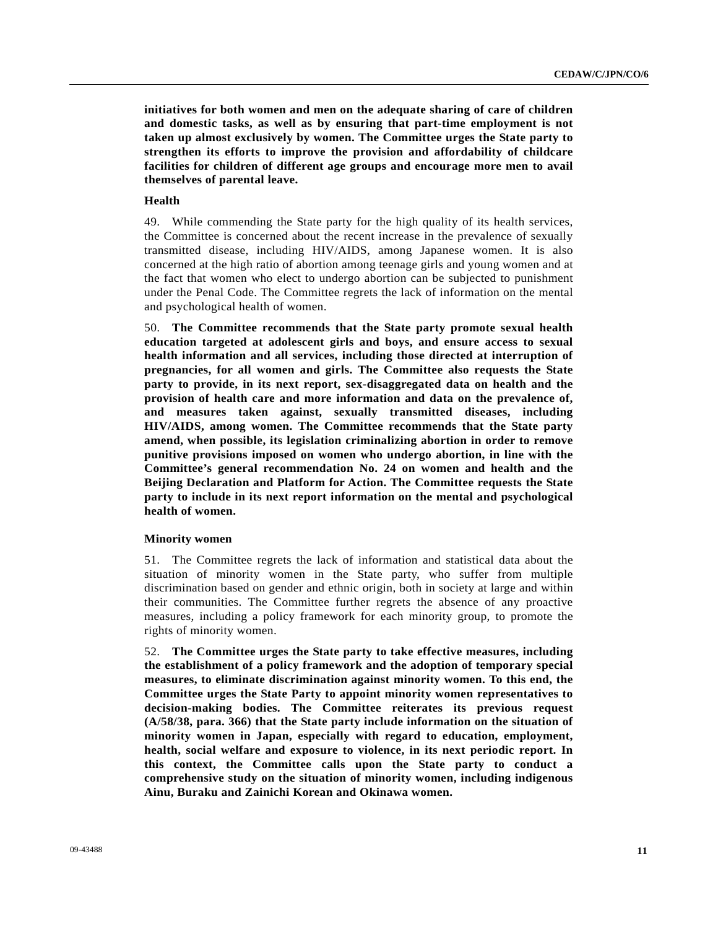**initiatives for both women and men on the adequate sharing of care of children and domestic tasks, as well as by ensuring that part-time employment is not taken up almost exclusively by women. The Committee urges the State party to strengthen its efforts to improve the provision and affordability of childcare facilities for children of different age groups and encourage more men to avail themselves of parental leave.**

#### **Health**

49. While commending the State party for the high quality of its health services, the Committee is concerned about the recent increase in the prevalence of sexually transmitted disease, including HIV/AIDS, among Japanese women. It is also concerned at the high ratio of abortion among teenage girls and young women and at the fact that women who elect to undergo abortion can be subjected to punishment under the Penal Code. The Committee regrets the lack of information on the mental and psychological health of women.

50. **The Committee recommends that the State party promote sexual health education targeted at adolescent girls and boys, and ensure access to sexual health information and all services, including those directed at interruption of pregnancies, for all women and girls. The Committee also requests the State party to provide, in its next report, sex-disaggregated data on health and the provision of health care and more information and data on the prevalence of, and measures taken against, sexually transmitted diseases, including HIV/AIDS, among women. The Committee recommends that the State party amend, when possible, its legislation criminalizing abortion in order to remove punitive provisions imposed on women who undergo abortion, in line with the Committee's general recommendation No. 24 on women and health and the Beijing Declaration and Platform for Action. The Committee requests the State party to include in its next report information on the mental and psychological health of women.** 

#### **Minority women**

51. The Committee regrets the lack of information and statistical data about the situation of minority women in the State party, who suffer from multiple discrimination based on gender and ethnic origin, both in society at large and within their communities. The Committee further regrets the absence of any proactive measures, including a policy framework for each minority group, to promote the rights of minority women.

52. **The Committee urges the State party to take effective measures, including the establishment of a policy framework and the adoption of temporary special measures, to eliminate discrimination against minority women. To this end, the Committee urges the State Party to appoint minority women representatives to decision-making bodies. The Committee reiterates its previous request (A/58/38, para. 366) that the State party include information on the situation of minority women in Japan, especially with regard to education, employment, health, social welfare and exposure to violence, in its next periodic report. In this context, the Committee calls upon the State party to conduct a comprehensive study on the situation of minority women, including indigenous Ainu, Buraku and Zainichi Korean and Okinawa women.**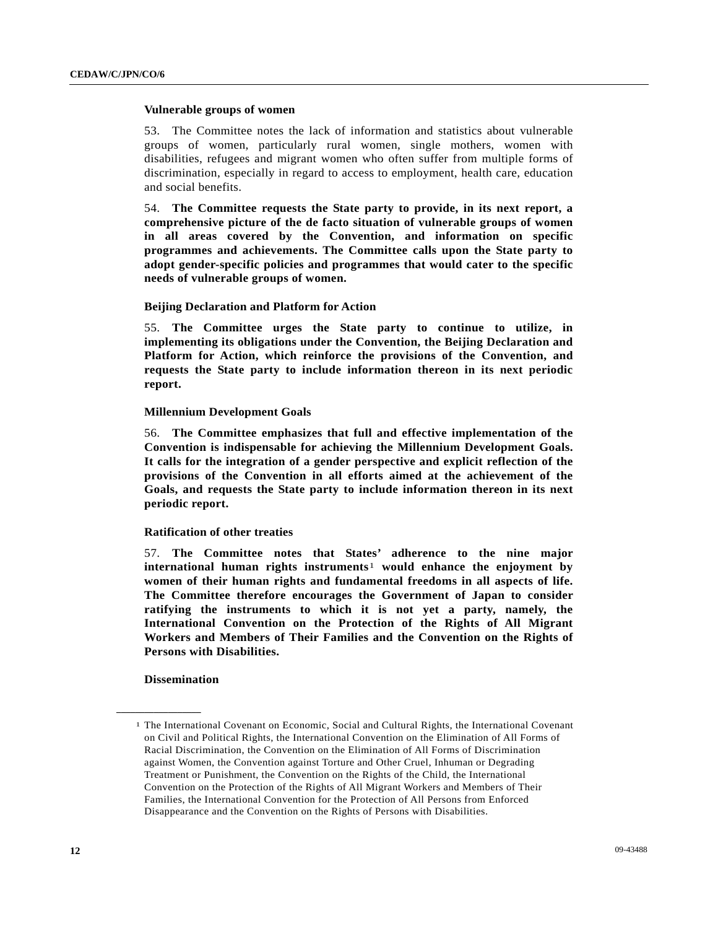#### **Vulnerable groups of women**

53. The Committee notes the lack of information and statistics about vulnerable groups of women, particularly rural women, single mothers, women with disabilities, refugees and migrant women who often suffer from multiple forms of discrimination, especially in regard to access to employment, health care, education and social benefits.

54. **The Committee requests the State party to provide, in its next report, a comprehensive picture of the de facto situation of vulnerable groups of women in all areas covered by the Convention, and information on specific programmes and achievements. The Committee calls upon the State party to adopt gender-specific policies and programmes that would cater to the specific needs of vulnerable groups of women.**

#### **Beijing Declaration and Platform for Action**

55. **The Committee urges the State party to continue to utilize, in implementing its obligations under the Convention, the Beijing Declaration and Platform for Action, which reinforce the provisions of the Convention, and requests the State party to include information thereon in its next periodic report.** 

#### **Millennium Development Goals**

56. **The Committee emphasizes that full and effective implementation of the Convention is indispensable for achieving the Millennium Development Goals. It calls for the integration of a gender perspective and explicit reflection of the provisions of the Convention in all efforts aimed at the achievement of the Goals, and requests the State party to include information thereon in its next periodic report.**

#### **Ratification of other treaties**

57. **The Committee notes that States' adherence to the nine major international human rights instruments**[1](#page-11-0) **would enhance the enjoyment by women of their human rights and fundamental freedoms in all aspects of life. The Committee therefore encourages the Government of Japan to consider ratifying the instruments to which it is not yet a party, namely, the International Convention on the Protection of the Rights of All Migrant Workers and Members of Their Families and the Convention on the Rights of Persons with Disabilities.**

#### **Dissemination**

<span id="page-11-0"></span>**\_\_\_\_\_\_\_\_\_\_\_\_\_\_\_\_\_\_** 

<sup>1</sup> The International Covenant on Economic, Social and Cultural Rights, the International Covenant on Civil and Political Rights, the International Convention on the Elimination of All Forms of Racial Discrimination, the Convention on the Elimination of All Forms of Discrimination against Women, the Convention against Torture and Other Cruel, Inhuman or Degrading Treatment or Punishment, the Convention on the Rights of the Child, the International Convention on the Protection of the Rights of All Migrant Workers and Members of Their Families, the International Convention for the Protection of All Persons from Enforced Disappearance and the Convention on the Rights of Persons with Disabilities.